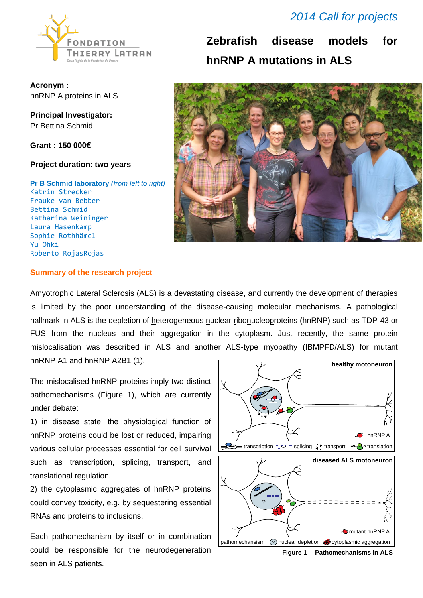

**Acronym :** hnRNP A proteins in ALS

**Principal Investigator:** Pr Bettina Schmid

**Grant : 150 000€** 

### **Project duration: two years**

**Pr B Schmid laboratory**:*(from left to right)*  Katrin Strecker Frauke van Bebber Bettina Schmid Katharina Weininger Laura Hasenkamp Sophie Rothhämel Yu Ohki Roberto RojasRojas

## *2014 Call for projects*

**Zebrafish disease models for hnRNP A mutations in ALS**



### **Summary of the research project**

Amyotrophic Lateral Sclerosis (ALS) is a devastating disease, and currently the development of therapies is limited by the poor understanding of the disease-causing molecular mechanisms. A pathological hallmark in ALS is the depletion of heterogeneous nuclear ribonucleoproteins (hnRNP) such as TDP-43 or FUS from the nucleus and their aggregation in the cytoplasm. Just recently, the same protein mislocalisation was described in ALS and another ALS-type myopathy (IBMPFD/ALS) for mutant hnRNP A1 and hnRNP A2B1 (1).

The mislocalised hnRNP proteins imply two distinct pathomechanisms (Figure 1), which are currently under debate:

1) in disease state, the physiological function of hnRNP proteins could be lost or reduced, impairing various cellular processes essential for cell survival such as transcription, splicing, transport, and translational regulation.

2) the cytoplasmic aggregates of hnRNP proteins could convey toxicity, e.g. by sequestering essential RNAs and proteins to inclusions.

Each pathomechanism by itself or in combination could be responsible for the neurodegeneration seen in ALS patients.



**Figure 1 Pathomechanisms in ALS**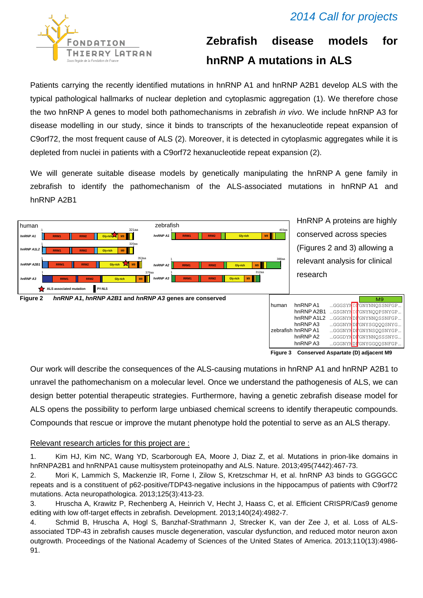## *2014 Call for projects*



# **Zebrafish disease models for hnRNP A mutations in ALS**

Patients carrying the recently identified mutations in hnRNP A1 and hnRNP A2B1 develop ALS with the typical pathological hallmarks of nuclear depletion and cytoplasmic aggregation (1). We therefore chose the two hnRNP A genes to model both pathomechanisms in zebrafish *in vivo*. We include hnRNP A3 for disease modelling in our study, since it binds to transcripts of the hexanucleotide repeat expansion of C9orf72, the most frequent cause of ALS [\(2\)](#page-1-0). Moreover, it is detected in cytoplasmic aggregates while it is depleted from nuclei in patients with a C9orf72 hexanucleotide repeat expansion [\(2\)](#page-1-0).

We will generate suitable disease models by genetically manipulating the hnRNP A gene family in zebrafish to identify the pathomechanism of the ALS-associated mutations in hnRNP A1 and hnRNP A2B1



**Figure 3 Conserved Aspartate (D) adjacent M9** 

Our work will describe the consequences of the ALS-causing mutations in hnRNP A1 and hnRNP A2B1 to unravel the pathomechanism on a molecular level. Once we understand the pathogenesis of ALS, we can design better potential therapeutic strategies. Furthermore, having a genetic zebrafish disease model for **Figure 3 Conserved Aspartate (D) adjacent M9 Figure 4 Ontology tree** ALS opens the possibility to perform large unbiased chemical screens to identify therapeutic compounds. Compounds that rescue or improve the mutant phenotype hold the potential to serve as an ALS therapy. read the consequences of the ALS-causing mutations in hr of the ALD badonly matations in in-

### Relevant research articles for this project are :

1. Kim HJ, Kim NC, Wang YD, Scarborough EA, Moore J, Diaz Z, et al. Mutations in prion-like domains in hnRNPA2B1 and hnRNPA1 cause multisystem proteinopathy and ALS. Nature. 2013;495(7442):467-73.

<span id="page-1-0"></span>2. Mori K, Lammich S, Mackenzie IR, Forne I, Zilow S, Kretzschmar H, et al. hnRNP A3 binds to GGGGCC repeats and is a constituent of p62-positive/TDP43-negative inclusions in the hippocampus of patients with C9orf72 mutations. Acta neuropathologica. 2013;125(3):413-23.

3. Hruscha A, Krawitz P, Rechenberg A, Heinrich V, Hecht J, Haass C, et al. Efficient CRISPR/Cas9 genome editing with low off-target effects in zebrafish. Development. 2013;140(24):4982-7.

4. Schmid B, Hruscha A, Hogl S, Banzhaf-Strathmann J, Strecker K, van der Zee J, et al. Loss of ALSassociated TDP-43 in zebrafish causes muscle degeneration, vascular dysfunction, and reduced motor neuron axon outgrowth. Proceedings of the National Academy of Sciences of the United States of America. 2013;110(13):4986- 91.